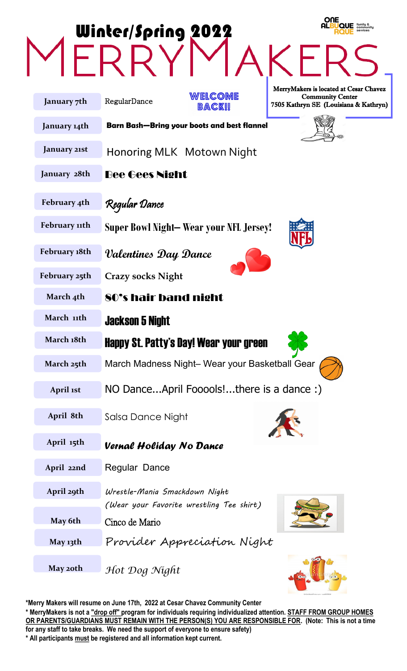|               | <b>ONE</b><br>familu 8<br>community<br><b>Winter/Spring 2022</b>             |
|---------------|------------------------------------------------------------------------------|
|               |                                                                              |
|               | MerryMakers is located at Cesar Chavez<br>WELCOME<br><b>Community Center</b> |
| January 7th   | RegularDance<br>7505 Kathryn SE (Louisiana & Kathryn)<br>BACK!!              |
| January 14th  | Barn Bash—Bring your boots and best flannel                                  |
| January 21st  | Honoring MLK Motown Night                                                    |
| January 28th  | <b>Bee Gees Night</b>                                                        |
| February 4th  | Regular Dance                                                                |
| February 11th | <b>Super Bowl Night– Wear your NFL Jersey!</b>                               |
| February 18th | Valentines Day Dance                                                         |
| February 25th | <b>Crazy socks Night</b>                                                     |
| March 4th     | 80's hair band night                                                         |
| March 11th    | <b>Jackson 5 Night</b>                                                       |
| March 18th    | Happy St. Patty's Day! Wear your green                                       |
| March 25th    | March Madness Night- Wear your Basketball Gear                               |
| April 1st     | NO DanceApril Fooools!there is a dance :)                                    |
| April 8th     | Salsa Dance Night                                                            |
| April 15th    | <b>Vernal Holiday No Dance</b>                                               |
| April 22nd    | <b>Regular Dance</b>                                                         |
| April 29th    | Wrestle-Mania Smackdown Night<br>(Wear your Favorite wrestling Tee shirt)    |
| May 6th       | Cinco de Mario                                                               |
| May 13th      | Provider Appreciation Night                                                  |
| May 20th      | Hot Dog Night                                                                |

**\*Merry Makers will resume on June 17th, 2022 at Cesar Chavez Community Center \* MerryMakers is not a "drop off" program for individuals requiring individualized attention. STAFF FROM GROUP HOMES OR PARENTS/GUARDIANS MUST REMAIN WITH THE PERSON(S) YOU ARE RESPONSIBLE FOR. (Note: This is not a time for any staff to take breaks. We need the support of everyone to ensure safety)**

**\* All participants must be registered and all information kept current.**